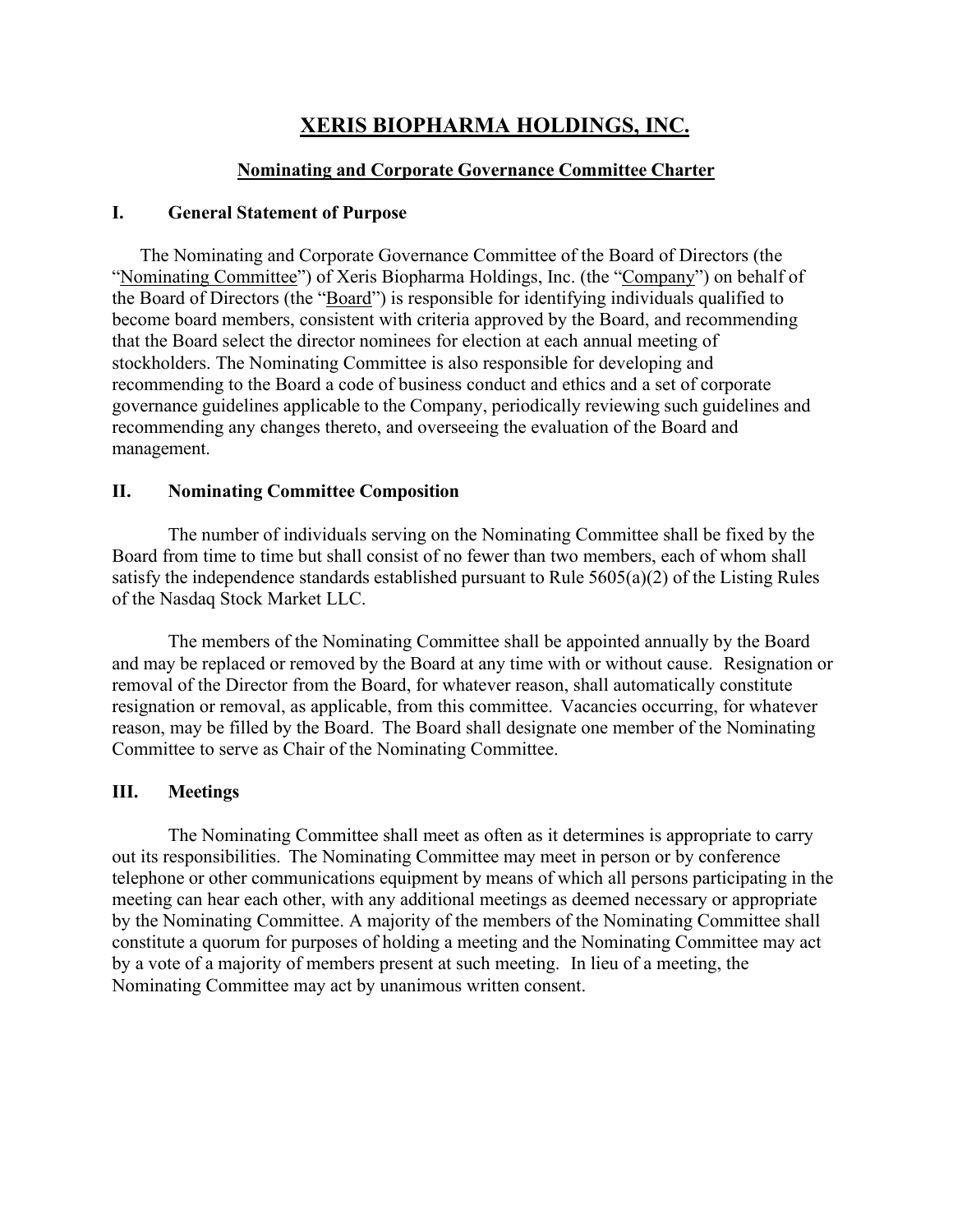# **XERIS BIOPHARMA HOLDINGS, INC.**

#### **Nominating and Corporate Governance Committee Charter**

#### **I. General Statement of Purpose**

The Nominating and Corporate Governance Committee of the Board of Directors (the "Nominating Committee") of Xeris Biopharma Holdings, Inc. (the "Company") on behalf of the Board of Directors (the "Board") is responsible for identifying individuals qualified to become board members, consistent with criteria approved by the Board, and recommending that the Board select the director nominees for election at each annual meeting of stockholders. The Nominating Committee is also responsible for developing and recommending to the Board a code of business conduct and ethics and a set of corporate governance guidelines applicable to the Company, periodically reviewing such guidelines and recommending any changes thereto, and overseeing the evaluation of the Board and management.

#### **II. Nominating Committee Composition**

The number of individuals serving on the Nominating Committee shall be fixed by the Board from time to time but shall consist of no fewer than two members, each of whom shall satisfy the independence standards established pursuant to Rule 5605(a)(2) of the Listing Rules of the Nasdaq Stock Market LLC.

The members of the Nominating Committee shall be appointed annually by the Board and may be replaced or removed by the Board at any time with or without cause. Resignation or removal of the Director from the Board, for whatever reason, shall automatically constitute resignation or removal, as applicable, from this committee. Vacancies occurring, for whatever reason, may be filled by the Board. The Board shall designate one member of the Nominating Committee to serve as Chair of the Nominating Committee.

## **III. Meetings**

The Nominating Committee shall meet as often as it determines is appropriate to carry out its responsibilities. The Nominating Committee may meet in person or by conference telephone or other communications equipment by means of which all persons participating in the meeting can hear each other, with any additional meetings as deemed necessary or appropriate by the Nominating Committee. A majority of the members of the Nominating Committee shall constitute a quorum for purposes of holding a meeting and the Nominating Committee may act by a vote of a majority of members present at such meeting. In lieu of a meeting, the Nominating Committee may act by unanimous written consent.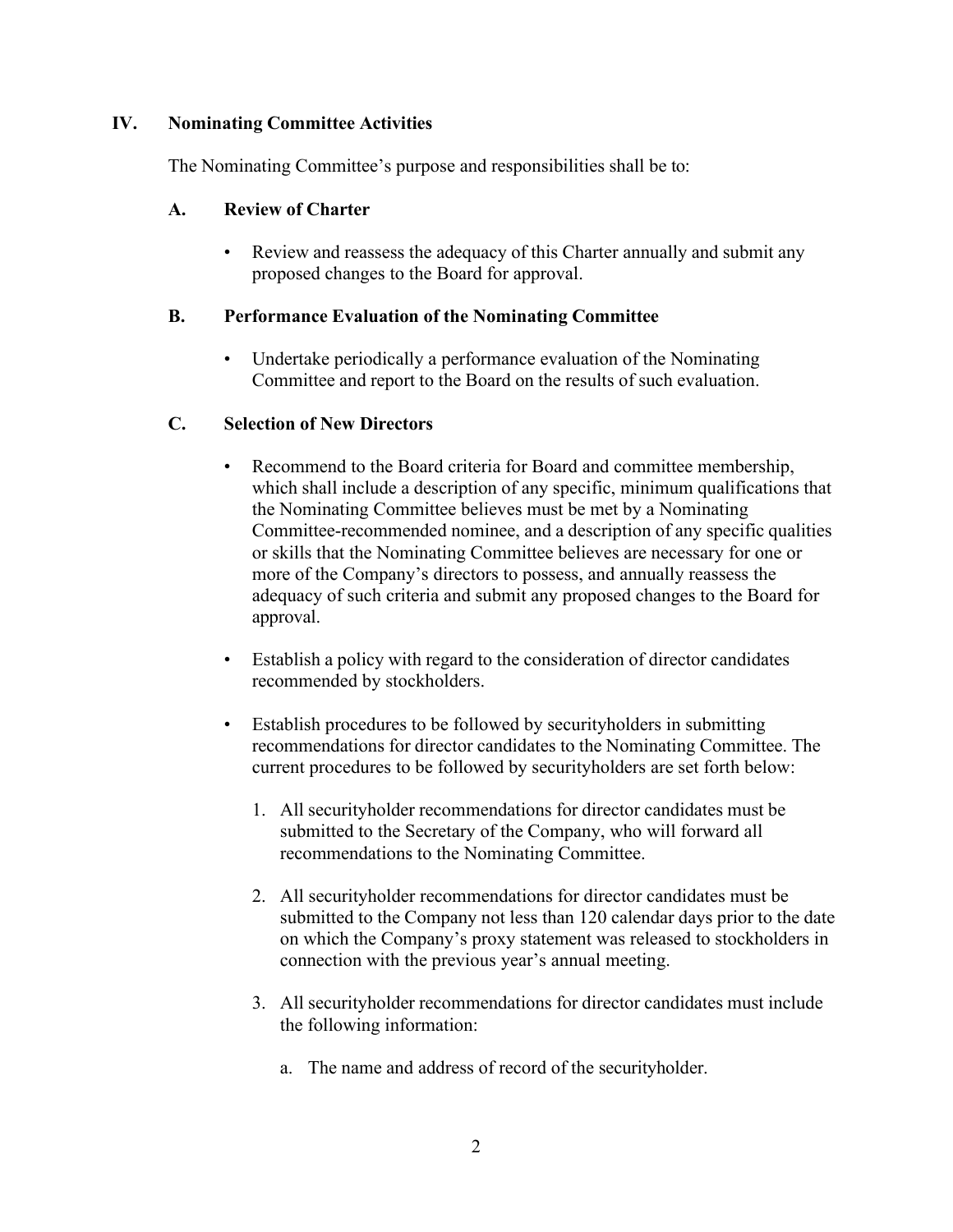### **IV. Nominating Committee Activities**

The Nominating Committee's purpose and responsibilities shall be to:

#### **A. Review of Charter**

Review and reassess the adequacy of this Charter annually and submit any proposed changes to the Board for approval.

#### **B. Performance Evaluation of the Nominating Committee**

Undertake periodically a performance evaluation of the Nominating Committee and report to the Board on the results of such evaluation.

#### **C. Selection of New Directors**

- Recommend to the Board criteria for Board and committee membership, which shall include a description of any specific, minimum qualifications that the Nominating Committee believes must be met by a Nominating Committee-recommended nominee, and a description of any specific qualities or skills that the Nominating Committee believes are necessary for one or more of the Company's directors to possess, and annually reassess the adequacy of such criteria and submit any proposed changes to the Board for approval.
- Establish a policy with regard to the consideration of director candidates recommended by stockholders.
- Establish procedures to be followed by securityholders in submitting recommendations for director candidates to the Nominating Committee. The current procedures to be followed by securityholders are set forth below:
	- 1. All securityholder recommendations for director candidates must be submitted to the Secretary of the Company, who will forward all recommendations to the Nominating Committee.
	- 2. All securityholder recommendations for director candidates must be submitted to the Company not less than 120 calendar days prior to the date on which the Company's proxy statement was released to stockholders in connection with the previous year's annual meeting.
	- 3. All securityholder recommendations for director candidates must include the following information:
		- a. The name and address of record of the securityholder.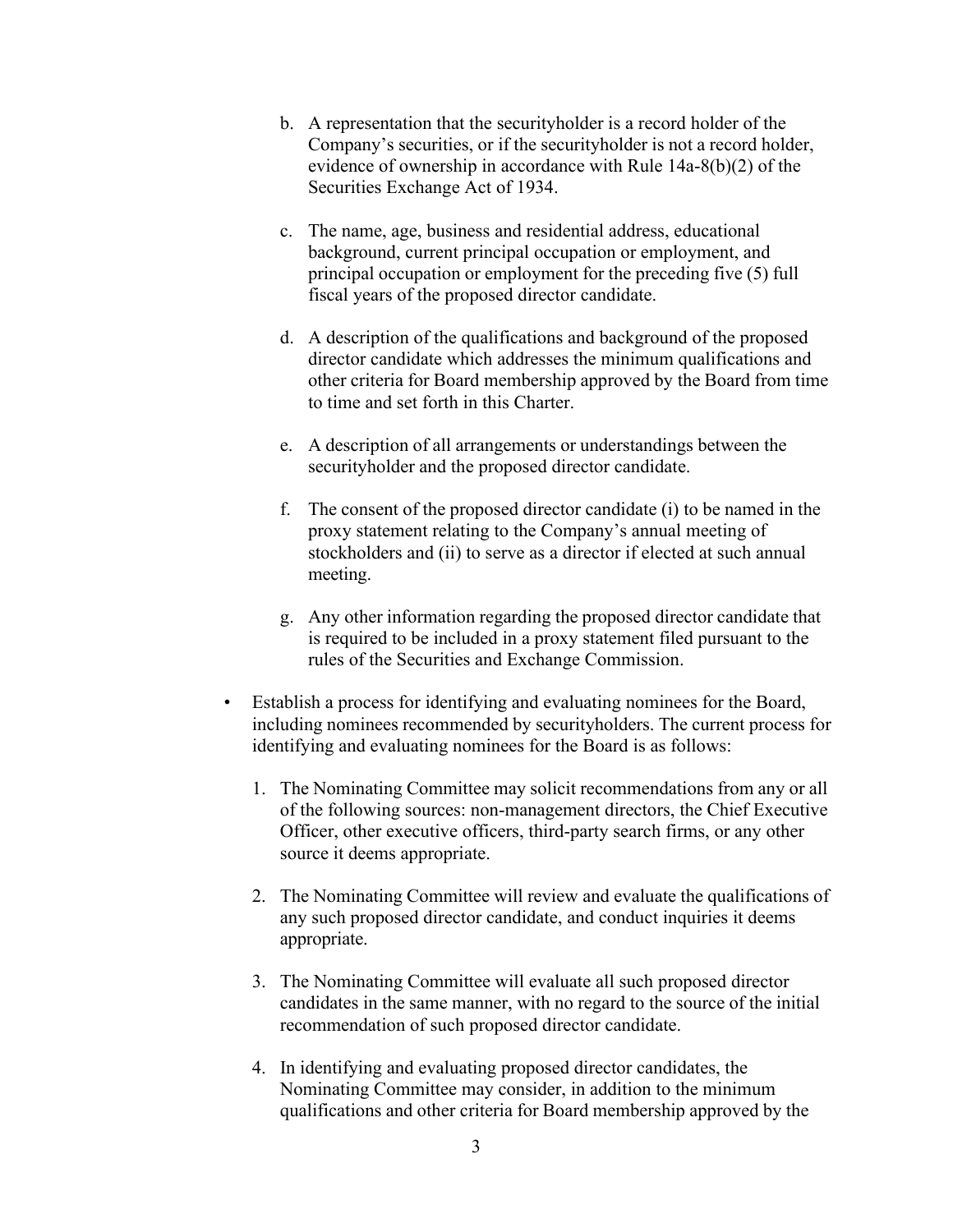- b. A representation that the securityholder is a record holder of the Company's securities, or if the securityholder is not a record holder, evidence of ownership in accordance with Rule 14a-8(b)(2) of the Securities Exchange Act of 1934.
- c. The name, age, business and residential address, educational background, current principal occupation or employment, and principal occupation or employment for the preceding five (5) full fiscal years of the proposed director candidate.
- d. A description of the qualifications and background of the proposed director candidate which addresses the minimum qualifications and other criteria for Board membership approved by the Board from time to time and set forth in this Charter.
- e. A description of all arrangements or understandings between the securityholder and the proposed director candidate.
- f. The consent of the proposed director candidate (i) to be named in the proxy statement relating to the Company's annual meeting of stockholders and (ii) to serve as a director if elected at such annual meeting.
- g. Any other information regarding the proposed director candidate that is required to be included in a proxy statement filed pursuant to the rules of the Securities and Exchange Commission.
- Establish a process for identifying and evaluating nominees for the Board, including nominees recommended by securityholders. The current process for identifying and evaluating nominees for the Board is as follows:
	- 1. The Nominating Committee may solicit recommendations from any or all of the following sources: non-management directors, the Chief Executive Officer, other executive officers, third-party search firms, or any other source it deems appropriate.
	- 2. The Nominating Committee will review and evaluate the qualifications of any such proposed director candidate, and conduct inquiries it deems appropriate.
	- 3. The Nominating Committee will evaluate all such proposed director candidates in the same manner, with no regard to the source of the initial recommendation of such proposed director candidate.
	- 4. In identifying and evaluating proposed director candidates, the Nominating Committee may consider, in addition to the minimum qualifications and other criteria for Board membership approved by the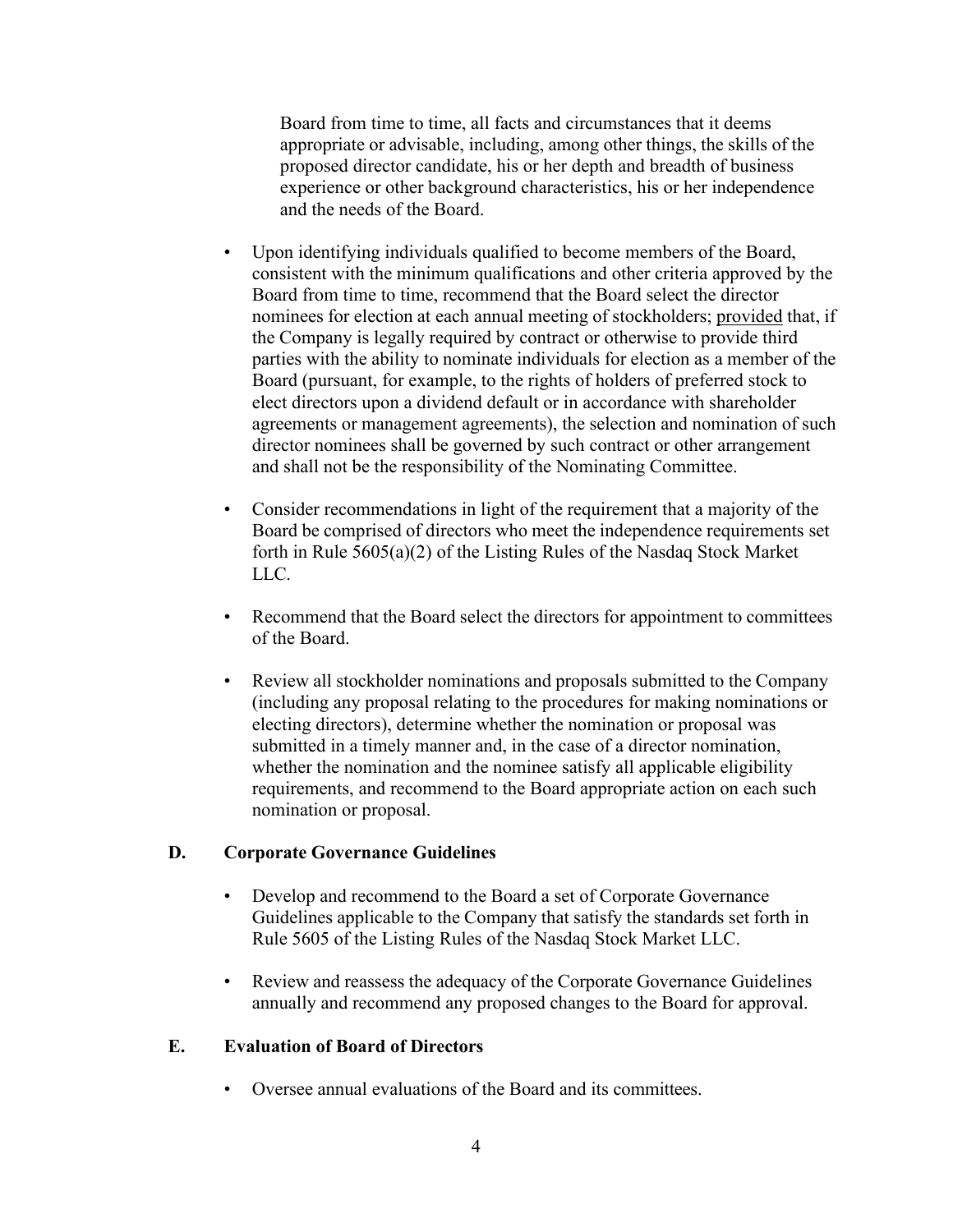Board from time to time, all facts and circumstances that it deems appropriate or advisable, including, among other things, the skills of the proposed director candidate, his or her depth and breadth of business experience or other background characteristics, his or her independence and the needs of the Board.

- Upon identifying individuals qualified to become members of the Board, consistent with the minimum qualifications and other criteria approved by the Board from time to time, recommend that the Board select the director nominees for election at each annual meeting of stockholders; provided that, if the Company is legally required by contract or otherwise to provide third parties with the ability to nominate individuals for election as a member of the Board (pursuant, for example, to the rights of holders of preferred stock to elect directors upon a dividend default or in accordance with shareholder agreements or management agreements), the selection and nomination of such director nominees shall be governed by such contract or other arrangement and shall not be the responsibility of the Nominating Committee.
- Consider recommendations in light of the requirement that a majority of the Board be comprised of directors who meet the independence requirements set forth in Rule 5605(a)(2) of the Listing Rules of the Nasdaq Stock Market LLC.
- Recommend that the Board select the directors for appointment to committees of the Board.
- Review all stockholder nominations and proposals submitted to the Company (including any proposal relating to the procedures for making nominations or electing directors), determine whether the nomination or proposal was submitted in a timely manner and, in the case of a director nomination, whether the nomination and the nominee satisfy all applicable eligibility requirements, and recommend to the Board appropriate action on each such nomination or proposal.

#### **D. Corporate Governance Guidelines**

- Develop and recommend to the Board a set of Corporate Governance Guidelines applicable to the Company that satisfy the standards set forth in Rule 5605 of the Listing Rules of the Nasdaq Stock Market LLC.
- Review and reassess the adequacy of the Corporate Governance Guidelines annually and recommend any proposed changes to the Board for approval.

#### **E. Evaluation of Board of Directors**

• Oversee annual evaluations of the Board and its committees.